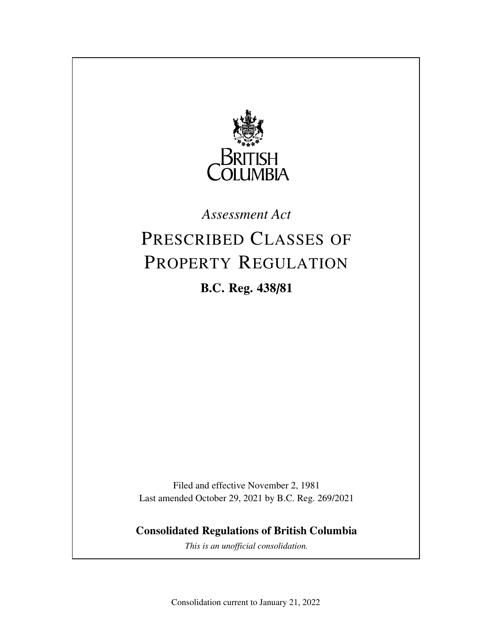

*Assessment Act*

# PRESCRIBED CLASSES OF PROPERTY REGULATION

**B.C. Reg. 438/81**

Filed and effective November 2, 1981 Last amended October 29, 2021 by B.C. Reg. 269/2021

**Consolidated Regulations of British Columbia**

*This is an unofficial consolidation.*

Consolidation current to January 21, 2022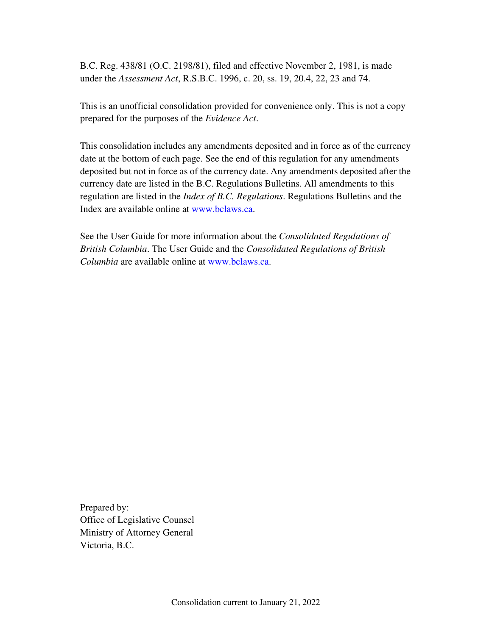B.C. Reg. 438/81 (O.C. 2198/81), filed and effective November 2, 1981, is made under the *Assessment Act*, R.S.B.C. 1996, c. 20, ss. 19, 20.4, 22, 23 and 74.

This is an unofficial consolidation provided for convenience only. This is not a copy prepared for the purposes of the *Evidence Act*.

This consolidation includes any amendments deposited and in force as of the currency date at the bottom of each page. See the end of this regulation for any amendments deposited but not in force as of the currency date. Any amendments deposited after the currency date are listed in the B.C. Regulations Bulletins. All amendments to this regulation are listed in the *Index of B.C. Regulations*. Regulations Bulletins and the Index are available online at www.bclaws.ca.

See the User Guide for more information about the *Consolidated Regulations of British Columbia*. The User Guide and the *Consolidated Regulations of British Columbia* are available online at www.bclaws.ca.

Prepared by: Office of Legislative Counsel Ministry of Attorney General Victoria, B.C.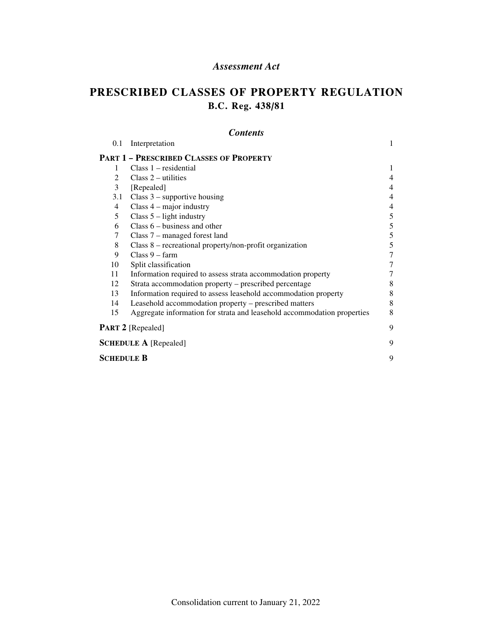### *Assessment Act*

## **PRESCRIBED CLASSES OF PROPERTY REGULATION B.C. Reg. 438/81**

| <b>Contents</b>                   |                                                                         |   |
|-----------------------------------|-------------------------------------------------------------------------|---|
| 0.1                               | Interpretation                                                          | 1 |
|                                   | <b>PART 1 - PRESCRIBED CLASSES OF PROPERTY</b>                          |   |
| 1                                 | Class $1 -$ residential                                                 | 1 |
| 2                                 | $Class 2 - utilities$                                                   | 4 |
| 3                                 | [Repealed]                                                              | 4 |
| 3.1                               | Class $3$ – supportive housing                                          | 4 |
| 4                                 | Class $4$ – major industry                                              | 4 |
| 5                                 | Class $5$ – light industry                                              | 5 |
| 6                                 | Class $6$ – business and other                                          | 5 |
| 7                                 | Class $7$ – managed forest land                                         | 5 |
| 8                                 | Class 8 - recreational property/non-profit organization                 | 5 |
| 9                                 | $Class 9 - farm$                                                        | 7 |
| 10                                | Split classification                                                    | 7 |
| 11                                | Information required to assess strata accommodation property            | 7 |
| 12                                | Strata accommodation property – prescribed percentage                   | 8 |
| 13                                | Information required to assess leasehold accommodation property         | 8 |
| 14                                | Leasehold accommodation property – prescribed matters                   | 8 |
| 15                                | Aggregate information for strata and leasehold accommodation properties | 8 |
| <b>PART 2</b> [Repealed]<br>9     |                                                                         |   |
| <b>SCHEDULE A [Repealed]</b><br>9 |                                                                         |   |
| <b>SCHEDULE B</b><br>9            |                                                                         |   |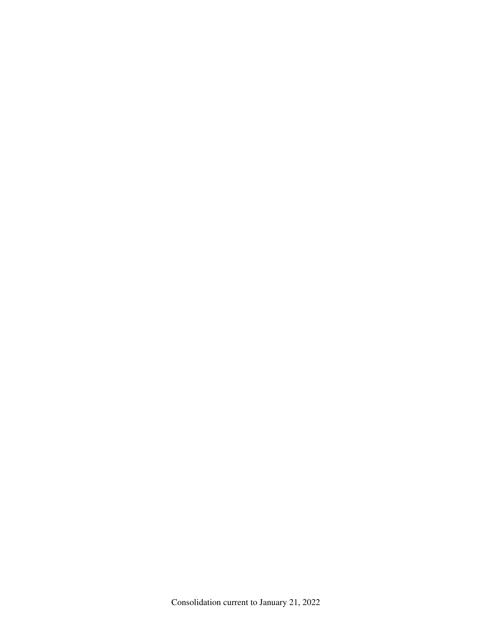Consolidation current to January 21, 2022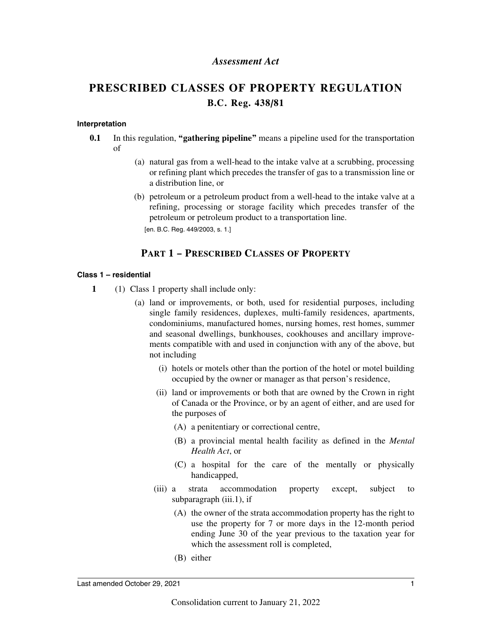### *Assessment Act*

# **PRESCRIBED CLASSES OF PROPERTY REGULATION B.C. Reg. 438/81**

#### **Interpretation**

- **0.1** In this regulation, **"gathering pipeline"** means a pipeline used for the transportation of
	- (a) natural gas from a well-head to the intake valve at a scrubbing, processing or refining plant which precedes the transfer of gas to a transmission line or a distribution line, or
	- (b) petroleum or a petroleum product from a well-head to the intake valve at a refining, processing or storage facility which precedes transfer of the petroleum or petroleum product to a transportation line. [en. B.C. Reg. 449/2003, s. 1.]

### **PART 1 – PRESCRIBED CLASSES OF PROPERTY**

#### **Class 1 – residential**

- **1** (1) Class 1 property shall include only:
	- (a) land or improvements, or both, used for residential purposes, including single family residences, duplexes, multi-family residences, apartments, condominiums, manufactured homes, nursing homes, rest homes, summer and seasonal dwellings, bunkhouses, cookhouses and ancillary improvements compatible with and used in conjunction with any of the above, but not including
		- (i) hotels or motels other than the portion of the hotel or motel building occupied by the owner or manager as that person's residence,
		- (ii) land or improvements or both that are owned by the Crown in right of Canada or the Province, or by an agent of either, and are used for the purposes of
			- (A) a penitentiary or correctional centre,
			- (B) a provincial mental health facility as defined in the *Mental Health Act*, or
			- (C) a hospital for the care of the mentally or physically handicapped,
		- (iii) a strata accommodation property except, subject to subparagraph (iii.1), if
			- (A) the owner of the strata accommodation property has the right to use the property for 7 or more days in the 12-month period ending June 30 of the year previous to the taxation year for which the assessment roll is completed,
			- (B) either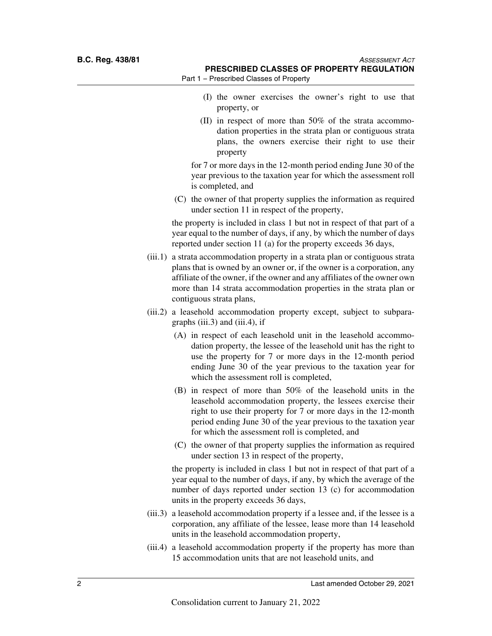Part 1 – Prescribed Classes of Property

- (I) the owner exercises the owner's right to use that property, or
- (II) in respect of more than 50% of the strata accommodation properties in the strata plan or contiguous strata plans, the owners exercise their right to use their property

for 7 or more days in the 12-month period ending June 30 of the year previous to the taxation year for which the assessment roll is completed, and

(C) the owner of that property supplies the information as required under section 11 in respect of the property,

the property is included in class 1 but not in respect of that part of a year equal to the number of days, if any, by which the number of days reported under section 11 (a) for the property exceeds 36 days,

- (iii.1) a strata accommodation property in a strata plan or contiguous strata plans that is owned by an owner or, if the owner is a corporation, any affiliate of the owner, if the owner and any affiliates of the owner own more than 14 strata accommodation properties in the strata plan or contiguous strata plans,
- (iii.2) a leasehold accommodation property except, subject to subparagraphs (iii.3) and (iii.4), if
	- (A) in respect of each leasehold unit in the leasehold accommodation property, the lessee of the leasehold unit has the right to use the property for 7 or more days in the 12-month period ending June 30 of the year previous to the taxation year for which the assessment roll is completed,
	- (B) in respect of more than 50% of the leasehold units in the leasehold accommodation property, the lessees exercise their right to use their property for 7 or more days in the 12-month period ending June 30 of the year previous to the taxation year for which the assessment roll is completed, and
	- (C) the owner of that property supplies the information as required under section 13 in respect of the property,

the property is included in class 1 but not in respect of that part of a year equal to the number of days, if any, by which the average of the number of days reported under section 13 (c) for accommodation units in the property exceeds 36 days,

- (iii.3) a leasehold accommodation property if a lessee and, if the lessee is a corporation, any affiliate of the lessee, lease more than 14 leasehold units in the leasehold accommodation property,
- (iii.4) a leasehold accommodation property if the property has more than 15 accommodation units that are not leasehold units, and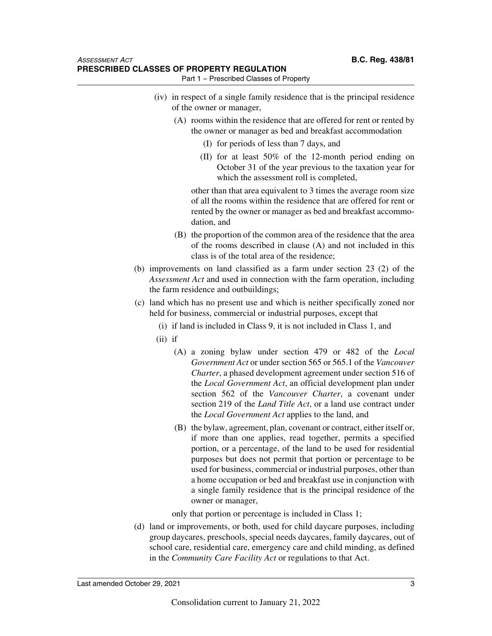- (iv) in respect of a single family residence that is the principal residence of the owner or manager,
	- (A) rooms within the residence that are offered for rent or rented by the owner or manager as bed and breakfast accommodation
		- (I) for periods of less than 7 days, and
		- (II) for at least 50% of the 12-month period ending on October 31 of the year previous to the taxation year for which the assessment roll is completed,

other than that area equivalent to 3 times the average room size of all the rooms within the residence that are offered for rent or rented by the owner or manager as bed and breakfast accommodation, and

- (B) the proportion of the common area of the residence that the area of the rooms described in clause (A) and not included in this class is of the total area of the residence;
- (b) improvements on land classified as a farm under section 23 (2) of the *Assessment Act* and used in connection with the farm operation, including the farm residence and outbuildings;
- (c) land which has no present use and which is neither specifically zoned nor held for business, commercial or industrial purposes, except that
	- (i) if land is included in Class 9, it is not included in Class 1, and
	- $(ii)$  if
		- (A) a zoning bylaw under section 479 or 482 of the *Local Government Act* or under section 565 or 565.1 of the *Vancouver Charter*, a phased development agreement under section 516 of the *Local Government Act*, an official development plan under section 562 of the *Vancouver Charter*, a covenant under section 219 of the *Land Title Act*, or a land use contract under the *Local Government Act* applies to the land, and
		- (B) the bylaw, agreement, plan, covenant or contract, either itself or, if more than one applies, read together, permits a specified portion, or a percentage, of the land to be used for residential purposes but does not permit that portion or percentage to be used for business, commercial or industrial purposes, other than a home occupation or bed and breakfast use in conjunction with a single family residence that is the principal residence of the owner or manager,

only that portion or percentage is included in Class 1;

(d) land or improvements, or both, used for child daycare purposes, including group daycares, preschools, special needs daycares, family daycares, out of school care, residential care, emergency care and child minding, as defined in the *Community Care Facility Act* or regulations to that Act.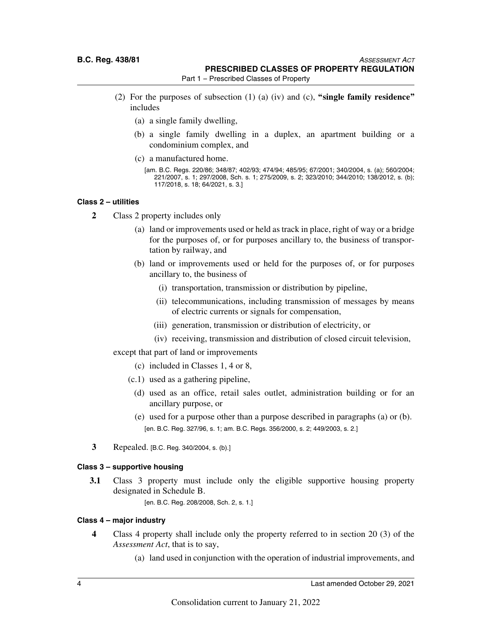Part 1 – Prescribed Classes of Property

- (2) For the purposes of subsection (1) (a) (iv) and (c), **"single family residence"** includes
	- (a) a single family dwelling,
	- (b) a single family dwelling in a duplex, an apartment building or a condominium complex, and
	- (c) a manufactured home.

#### **Class 2 – utilities**

- **2** Class 2 property includes only
	- (a) land or improvements used or held as track in place, right of way or a bridge for the purposes of, or for purposes ancillary to, the business of transportation by railway, and
	- (b) land or improvements used or held for the purposes of, or for purposes ancillary to, the business of
		- (i) transportation, transmission or distribution by pipeline,
		- (ii) telecommunications, including transmission of messages by means of electric currents or signals for compensation,
		- (iii) generation, transmission or distribution of electricity, or
		- (iv) receiving, transmission and distribution of closed circuit television,

except that part of land or improvements

- (c) included in Classes 1, 4 or 8,
- (c.1) used as a gathering pipeline,
	- (d) used as an office, retail sales outlet, administration building or for an ancillary purpose, or
	- (e) used for a purpose other than a purpose described in paragraphs (a) or (b). [en. B.C. Reg. 327/96, s. 1; am. B.C. Regs. 356/2000, s. 2; 449/2003, s. 2.]
- **3** Repealed. [B.C. Reg. 340/2004, s. (b).]

#### **Class 3 – supportive housing**

**3.1** Class 3 property must include only the eligible supportive housing property designated in Schedule B.

[en. B.C. Reg. 208/2008, Sch. 2, s. 1.]

#### **Class 4 – major industry**

- **4** Class 4 property shall include only the property referred to in section 20 (3) of the *Assessment Act*, that is to say,
	- (a) land used in conjunction with the operation of industrial improvements, and

<sup>[</sup>am. B.C. Regs. 220/86; 348/87; 402/93; 474/94; 485/95; 67/2001; 340/2004, s. (a); 560/2004; 221/2007, s. 1; 297/2008, Sch. s. 1; 275/2009, s. 2; 323/2010; 344/2010; 138/2012, s. (b); 117/2018, s. 18; 64/2021, s. 3.]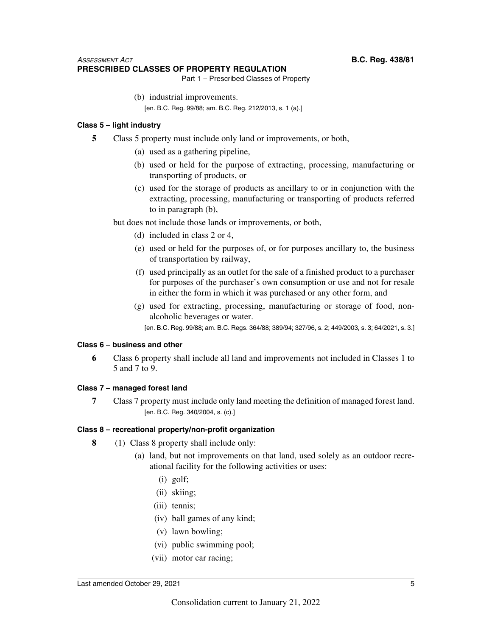Part 1 – Prescribed Classes of Property

(b) industrial improvements.

```
[en. B.C. Reg. 99/88; am. B.C. Reg. 212/2013, s. 1 (a).]
```
### **Class 5 – light industry**

- **5** Class 5 property must include only land or improvements, or both,
	- (a) used as a gathering pipeline,
	- (b) used or held for the purpose of extracting, processing, manufacturing or transporting of products, or
	- (c) used for the storage of products as ancillary to or in conjunction with the extracting, processing, manufacturing or transporting of products referred to in paragraph (b),

but does not include those lands or improvements, or both,

- (d) included in class 2 or 4,
- (e) used or held for the purposes of, or for purposes ancillary to, the business of transportation by railway,
- (f) used principally as an outlet for the sale of a finished product to a purchaser for purposes of the purchaser's own consumption or use and not for resale in either the form in which it was purchased or any other form, and
- (g) used for extracting, processing, manufacturing or storage of food, nonalcoholic beverages or water.

[en. B.C. Reg. 99/88; am. B.C. Regs. 364/88; 389/94; 327/96, s. 2; 449/2003, s. 3; 64/2021, s. 3.]

### **Class 6 – business and other**

**6** Class 6 property shall include all land and improvements not included in Classes 1 to 5 and 7 to 9.

#### **Class 7 – managed forest land**

**7** Class 7 property must include only land meeting the definition of managed forest land. [en. B.C. Reg. 340/2004, s. (c).]

#### **Class 8 – recreational property/non-profit organization**

- **8** (1) Class 8 property shall include only:
	- (a) land, but not improvements on that land, used solely as an outdoor recreational facility for the following activities or uses:
		- (i) golf;
		- (ii) skiing;
		- (iii) tennis;
		- (iv) ball games of any kind;
		- (v) lawn bowling;
		- (vi) public swimming pool;
		- (vii) motor car racing;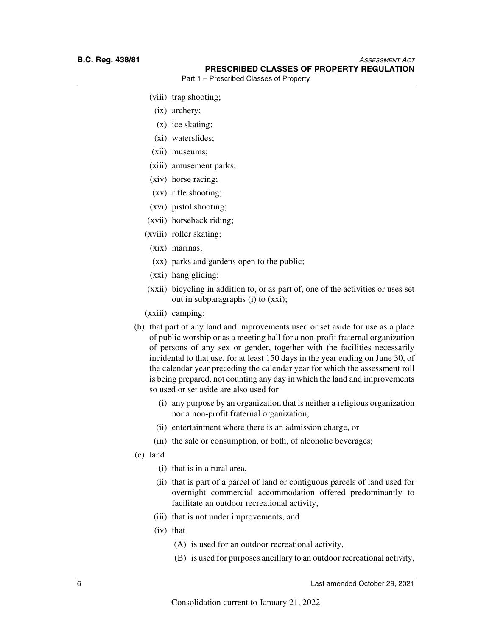Part 1 – Prescribed Classes of Property

- (viii) trap shooting;
	- (ix) archery;
	- (x) ice skating;
	- (xi) waterslides;
- (xii) museums;
- (xiii) amusement parks;
- (xiv) horse racing;
- (xv) rifle shooting;
- (xvi) pistol shooting;
- (xvii) horseback riding;
- (xviii) roller skating;
- (xix) marinas;
- (xx) parks and gardens open to the public;
- (xxi) hang gliding;
- (xxii) bicycling in addition to, or as part of, one of the activities or uses set out in subparagraphs (i) to (xxi);
- (xxiii) camping;
- (b) that part of any land and improvements used or set aside for use as a place of public worship or as a meeting hall for a non-profit fraternal organization of persons of any sex or gender, together with the facilities necessarily incidental to that use, for at least 150 days in the year ending on June 30, of the calendar year preceding the calendar year for which the assessment roll is being prepared, not counting any day in which the land and improvements so used or set aside are also used for
	- (i) any purpose by an organization that is neither a religious organization nor a non-profit fraternal organization,
	- (ii) entertainment where there is an admission charge, or
	- (iii) the sale or consumption, or both, of alcoholic beverages;
- (c) land
	- (i) that is in a rural area,
	- (ii) that is part of a parcel of land or contiguous parcels of land used for overnight commercial accommodation offered predominantly to facilitate an outdoor recreational activity,
	- (iii) that is not under improvements, and
	- (iv) that
		- (A) is used for an outdoor recreational activity,
		- (B) is used for purposes ancillary to an outdoor recreational activity,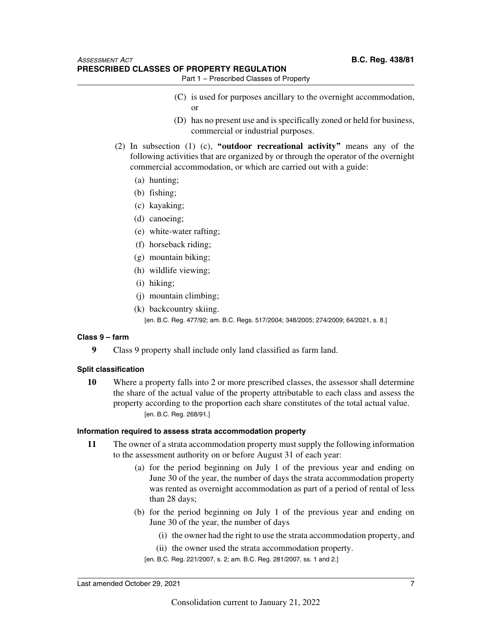Part 1 – Prescribed Classes of Property

- (C) is used for purposes ancillary to the overnight accommodation, or
- (D) has no present use and is specifically zoned or held for business, commercial or industrial purposes.
- (2) In subsection (1) (c), **"outdoor recreational activity"** means any of the following activities that are organized by or through the operator of the overnight commercial accommodation, or which are carried out with a guide:
	- (a) hunting;
	- (b) fishing;
	- (c) kayaking;
	- (d) canoeing;
	- (e) white-water rafting;
	- (f) horseback riding;
	- (g) mountain biking;
	- (h) wildlife viewing;
	- (i) hiking;
	- (j) mountain climbing;
	- (k) backcountry skiing. [en. B.C. Reg. 477/92; am. B.C. Regs. 517/2004; 348/2005; 274/2009; 64/2021, s. 8.]

#### **Class 9 – farm**

**9** Class 9 property shall include only land classified as farm land.

#### **Split classification**

**10** Where a property falls into 2 or more prescribed classes, the assessor shall determine the share of the actual value of the property attributable to each class and assess the property according to the proportion each share constitutes of the total actual value. [en. B.C. Reg. 268/91.]

#### **Information required to assess strata accommodation property**

- **11** The owner of a strata accommodation property must supply the following information to the assessment authority on or before August 31 of each year:
	- (a) for the period beginning on July 1 of the previous year and ending on June 30 of the year, the number of days the strata accommodation property was rented as overnight accommodation as part of a period of rental of less than 28 days;
	- (b) for the period beginning on July 1 of the previous year and ending on June 30 of the year, the number of days
		- (i) the owner had the right to use the strata accommodation property, and
		- (ii) the owner used the strata accommodation property.
		- [en. B.C. Reg. 221/2007, s. 2; am. B.C. Reg. 281/2007, ss. 1 and 2.]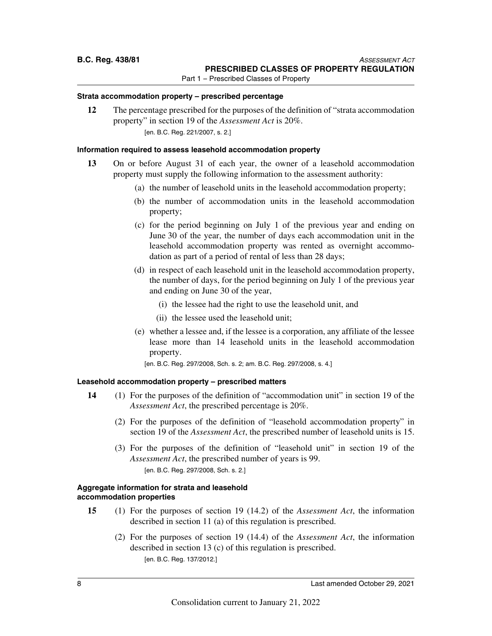Part 1 – Prescribed Classes of Property

#### **Strata accommodation property – prescribed percentage**

**12** The percentage prescribed for the purposes of the definition of "strata accommodation property" in section 19 of the *Assessment Act* is 20%. [en. B.C. Reg. 221/2007, s. 2.]

#### **Information required to assess leasehold accommodation property**

- **13** On or before August 31 of each year, the owner of a leasehold accommodation property must supply the following information to the assessment authority:
	- (a) the number of leasehold units in the leasehold accommodation property;
	- (b) the number of accommodation units in the leasehold accommodation property;
	- (c) for the period beginning on July 1 of the previous year and ending on June 30 of the year, the number of days each accommodation unit in the leasehold accommodation property was rented as overnight accommodation as part of a period of rental of less than 28 days;
	- (d) in respect of each leasehold unit in the leasehold accommodation property, the number of days, for the period beginning on July 1 of the previous year and ending on June 30 of the year,
		- (i) the lessee had the right to use the leasehold unit, and
		- (ii) the lessee used the leasehold unit;
	- (e) whether a lessee and, if the lessee is a corporation, any affiliate of the lessee lease more than 14 leasehold units in the leasehold accommodation property.

[en. B.C. Reg. 297/2008, Sch. s. 2; am. B.C. Reg. 297/2008, s. 4.]

#### **Leasehold accommodation property – prescribed matters**

- **14** (1) For the purposes of the definition of "accommodation unit" in section 19 of the *Assessment Act*, the prescribed percentage is 20%.
	- (2) For the purposes of the definition of "leasehold accommodation property" in section 19 of the *Assessment Act*, the prescribed number of leasehold units is 15.
	- (3) For the purposes of the definition of "leasehold unit" in section 19 of the *Assessment Act*, the prescribed number of years is 99.

[en. B.C. Reg. 297/2008, Sch. s. 2.]

#### **Aggregate information for strata and leasehold accommodation properties**

- **15** (1) For the purposes of section 19 (14.2) of the *Assessment Act*, the information described in section 11 (a) of this regulation is prescribed.
	- (2) For the purposes of section 19 (14.4) of the *Assessment Act*, the information described in section 13 (c) of this regulation is prescribed. [en. B.C. Reg. 137/2012.]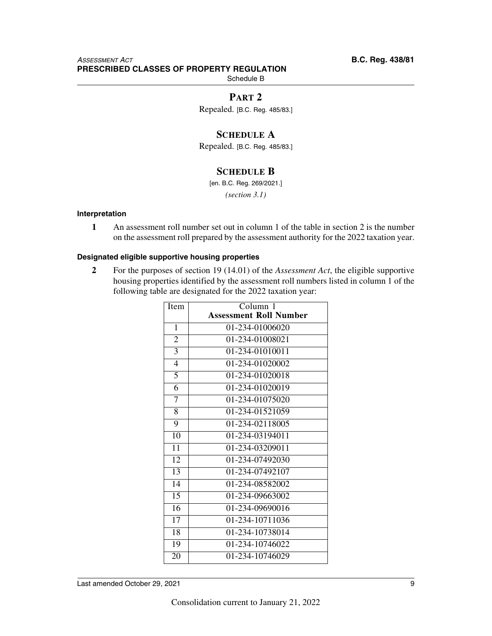Schedule B

### **PART 2**

Repealed. [B.C. Reg. 485/83.]

### **SCHEDULE A**

Repealed. [B.C. Reg. 485/83.]

### **SCHEDULE B**

[en. B.C. Reg. 269/2021.]

*(section 3.1)*

#### **Interpretation**

**1** An assessment roll number set out in column 1 of the table in section 2 is the number on the assessment roll prepared by the assessment authority for the 2022 taxation year.

#### **Designated eligible supportive housing properties**

**2** For the purposes of section 19 (14.01) of the *Assessment Act*, the eligible supportive housing properties identified by the assessment roll numbers listed in column 1 of the following table are designated for the 2022 taxation year:

| Item            | Column $\overline{1}$         |
|-----------------|-------------------------------|
|                 | <b>Assessment Roll Number</b> |
| $\overline{1}$  | 01-234-01006020               |
| $\overline{2}$  | 01-234-01008021               |
| $\overline{3}$  | 01-234-01010011               |
| $\overline{4}$  | 01-234-01020002               |
| 5               | 01-234-01020018               |
| $\overline{6}$  | 01-234-01020019               |
| 7               | 01-234-01075020               |
| 8               | 01-234-01521059               |
| 9               | 01-234-02118005               |
| 10              | 01-234-03194011               |
| $\overline{11}$ | 01-234-03209011               |
| $\overline{12}$ | 01-234-07492030               |
| 13              | 01-234-07492107               |
| 14              | 01-234-08582002               |
| $\overline{15}$ | 01-234-09663002               |
| 16              | 01-234-09690016               |
| $\overline{17}$ | 01-234-10711036               |
| 18              | 01-234-10738014               |
| 19              | $\overline{01}$ -234-10746022 |
| 20              | $\overline{01}$ -234-10746029 |

Last amended October 29, 2021 9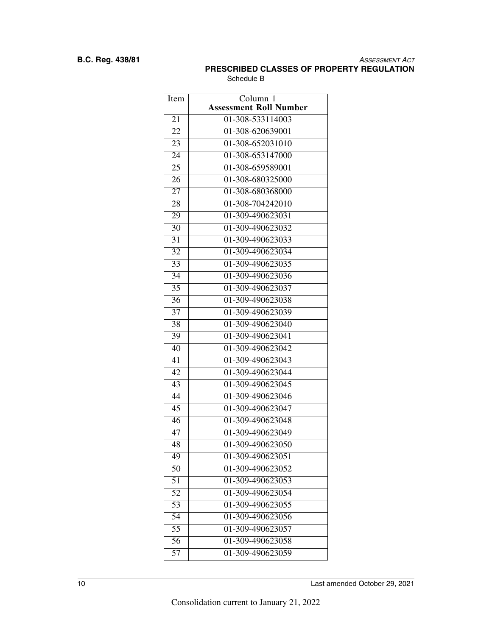| Item            | Column <sub>1</sub>           |
|-----------------|-------------------------------|
|                 | <b>Assessment Roll Number</b> |
| $\overline{21}$ | 01-308-533114003              |
| 22              | 01-308-620639001              |
| 23              | 01-308-652031010              |
| $\overline{24}$ | 01-308-653147000              |
| $\overline{25}$ | 01-308-659589001              |
| $\overline{26}$ | 01-308-680325000              |
| $\overline{27}$ | 01-308-680368000              |
| 28              | 01-308-704242010              |
| $\overline{29}$ | 01-309-490623031              |
| $\overline{30}$ | 01-309-490623032              |
| $\overline{31}$ | 01-309-490623033              |
| $\overline{32}$ | 01-309-490623034              |
| $\overline{33}$ | 01-309-490623035              |
| 34              | 01-309-490623036              |
| $\overline{35}$ | 01-309-490623037              |
| $\overline{36}$ | 01-309-490623038              |
| $\overline{37}$ | 01-309-490623039              |
| 38              | 01-309-490623040              |
| $\overline{39}$ | 01-309-490623041              |
| $\overline{40}$ | 01-309-490623042              |
| 41              | 01-309-490623043              |
| 42              | 01-309-490623044              |
| $\overline{43}$ | 01-309-490623045              |
| 44              | 01-309-490623046              |
| $\overline{45}$ | 01-309-490623047              |
| 46              | 01-309-490623048              |
| 47              | 01-309-490623049              |
| 48              | 01-309-490623050              |
| 49              | 01-309-490623051              |
| $\overline{50}$ | 01-309-490623052              |
| $\overline{51}$ | 01-309-490623053              |
| $\overline{52}$ | 01-309-490623054              |
| 53              | 01-309-490623055              |
| 54              | 01-309-490623056              |
| $\overline{55}$ | 01-309-490623057              |
| 56              | 01-309-490623058              |
| $\overline{57}$ | 01-309-490623059              |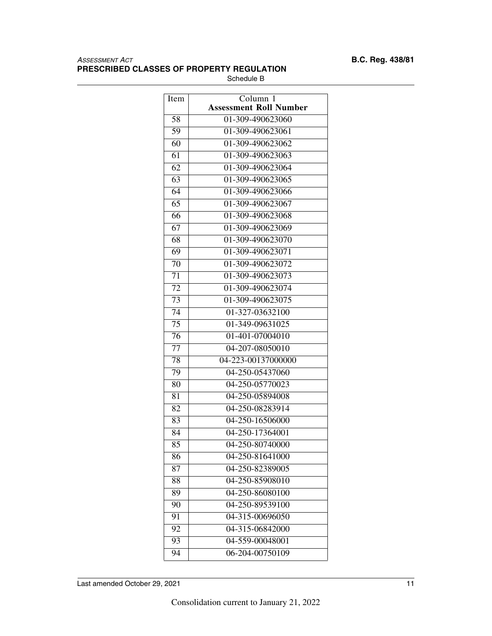| Item            | Column <sub>1</sub>           |
|-----------------|-------------------------------|
|                 | <b>Assessment Roll Number</b> |
| 58              | 01-309-490623060              |
| 59              | 01-309-490623061              |
| 60              | 01-309-490623062              |
| 61              | 01-309-490623063              |
| $\overline{62}$ | 01-309-490623064              |
| $\overline{63}$ | 01-309-490623065              |
| $\overline{64}$ | 01-309-490623066              |
| 65              | 01-309-490623067              |
| 66              | 01-309-490623068              |
| 67              | 01-309-490623069              |
| 68              | 01-309-490623070              |
| 69              | 01-309-490623071              |
| 70              | 01-309-490623072              |
| 71              | 01-309-490623073              |
| $\overline{72}$ | 01-309-490623074              |
| 73              | 01-309-490623075              |
| 74              | 01-327-03632100               |
| $\overline{75}$ | 01-349-09631025               |
| 76              | 01-401-07004010               |
| 77              | 04-207-08050010               |
| 78              | 04-223-00137000000            |
| 79              | 04-250-05437060               |
| 80              | 04-250-05770023               |
| 81              | 04-250-05894008               |
| 82              | 04-250-08283914               |
| 83              | 04-250-16506000               |
| 84              | 04-250-17364001               |
| 85              | 04-250-80740000               |
| 86              | 04-250-81641000               |
| 87              | 04-250-82389005               |
| 88              | 04-250-85908010               |
| 89              | 04-250-86080100               |
| 90              | 04-250-89539100               |
| 91              | 04-315-00696050               |
| 92              | 04-315-06842000               |
| 93              | 04-559-00048001               |
| 94              | 06-204-00750109               |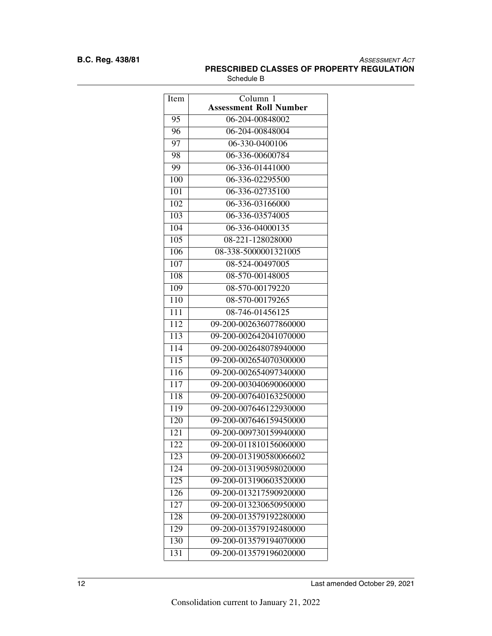| Item             | Column 1<br><b>Assessment Roll Number</b> |
|------------------|-------------------------------------------|
| 95               | 06-204-00848002                           |
| $\overline{96}$  | 06-204-00848004                           |
| $\overline{97}$  | 06-330-0400106                            |
| 98               | 06-336-00600784                           |
| 99               | 06-336-01441000                           |
| 100              | 06-336-02295500                           |
| $\overline{101}$ | 06-336-02735100                           |
| 102              | 06-336-03166000                           |
| 103              | 06-336-03574005                           |
| 104              | 06-336-04000135                           |
| 105              | 08-221-128028000                          |
| 106              | 08-338-5000001321005                      |
| 107              | 08-524-00497005                           |
| 108              | 08-570-00148005                           |
| $\overline{109}$ | 08-570-00179220                           |
| $\overline{110}$ | 08-570-00179265                           |
| 111              | 08-746-01456125                           |
| $\overline{112}$ | 09-200-002636077860000                    |
| $\overline{113}$ | 09-200-002642041070000                    |
| $\overline{114}$ | 09-200-002648078940000                    |
| $\overline{115}$ | 09-200-002654070300000                    |
| 116              | 09-200-002654097340000                    |
| $\overline{117}$ | 09-200-003040690060000                    |
| 118              | 09-200-007640163250000                    |
| 119              | 09-200-007646122930000                    |
| 120              | 09-200-007646159450000                    |
| $\overline{121}$ | 09-200-009730159940000                    |
| 122              | 09-200-011810156060000                    |
| 123              | 09-200-013190580066602                    |
| $\overline{124}$ | 09-200-013190598020000                    |
| 125              | 09-200-013190603520000                    |
| $\overline{126}$ | 09-200-013217590920000                    |
| $\overline{127}$ | 09-200-013230650950000                    |
| 128              | 09-200-013579192280000                    |
| 129              | 09-200-013579192480000                    |
| 130              | 09-200-013579194070000                    |
| $\overline{131}$ | 09-200-013579196020000                    |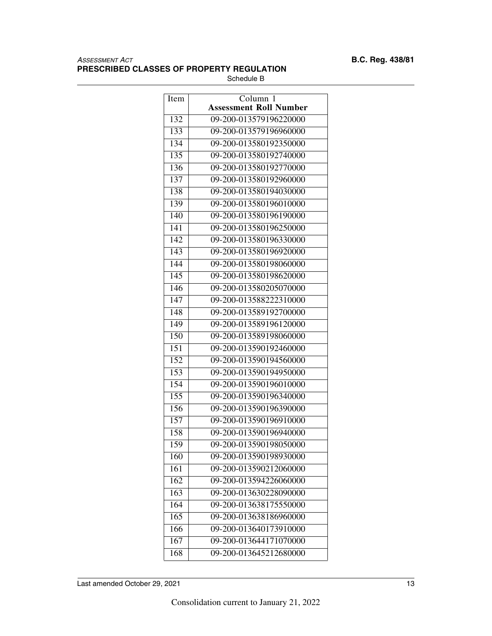| Item             | $\overline{\text{Column}}$ 1<br><b>Assessment Roll Number</b> |
|------------------|---------------------------------------------------------------|
| 132              | 09-200-013579196220000                                        |
| 133              | 09-200-013579196960000                                        |
| 134              | 09-200-013580192350000                                        |
| 135              | 09-200-013580192740000                                        |
| 136              | 09-200-013580192770000                                        |
| 137              | 09-200-013580192960000                                        |
| 138              | 09-200-013580194030000                                        |
| 139              | 09-200-013580196010000                                        |
| $\overline{140}$ | 09-200-013580196190000                                        |
| 141              | 09-200-013580196250000                                        |
| $\overline{142}$ | 09-200-013580196330000                                        |
| 143              | 09-200-013580196920000                                        |
| 144              | 09-200-013580198060000                                        |
| 145              | 09-200-013580198620000                                        |
| 146              | 09-200-013580205070000                                        |
| 147              | 09-200-013588222310000                                        |
| 148              | 09-200-013589192700000                                        |
| 149              | 09-200-013589196120000                                        |
| $\overline{150}$ | 09-200-013589198060000                                        |
| 151              | 09-200-013590192460000                                        |
| $\overline{152}$ | 09-200-013590194560000                                        |
| $\overline{153}$ | 09-200-013590194950000                                        |
| 154              | 09-200-013590196010000                                        |
| 155              | 09-200-013590196340000                                        |
| $\overline{156}$ | 09-200-013590196390000                                        |
| 157              | 09-200-013590196910000                                        |
| 158              | 09-200-013590196940000                                        |
| 159              | 09-200-013590198050000                                        |
| 160              | 09-200-013590198930000                                        |
| 161              | 09-200-013590212060000                                        |
| 162              | 09-200-013594226060000                                        |
| 163              | 09-200-013630228090000                                        |
| 164              | 09-200-013638175550000                                        |
| 165              | 09-200-013638186960000                                        |
| 166              | 09-200-013640173910000                                        |
| 167              | 09-200-013644171070000                                        |
| 168              | 09-200-013645212680000                                        |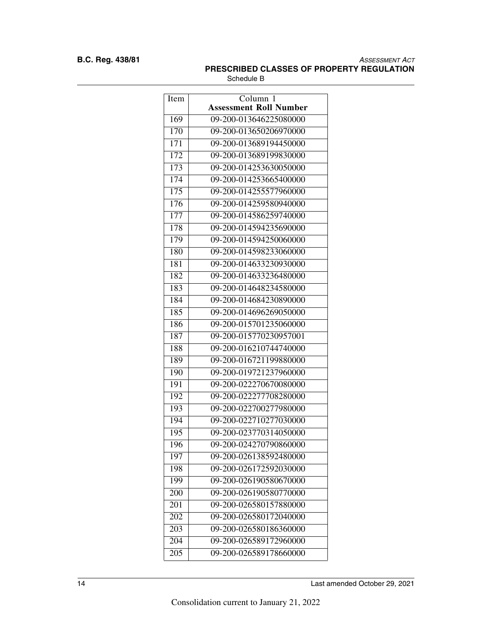| Item             | Column 1<br><b>Assessment Roll Number</b> |
|------------------|-------------------------------------------|
| 169              | 09-200-013646225080000                    |
| 170              | 09-200-013650206970000                    |
| 171              | 09-200-013689194450000                    |
| 172              | 09-200-013689199830000                    |
| $\overline{173}$ | 09-200-014253630050000                    |
| 174              | 09-200-014253665400000                    |
| $\overline{175}$ | 09-200-014255577960000                    |
| 176              | 09-200-014259580940000                    |
| $\overline{177}$ | 09-200-014586259740000                    |
| 178              | 09-200-014594235690000                    |
| 179              | 09-200-014594250060000                    |
| 180              | 09-200-014598233060000                    |
| $\overline{181}$ | 09-200-014633230930000                    |
| 182              | 09-200-014633236480000                    |
| 183              | 09-200-014648234580000                    |
| 184              | 09-200-014684230890000                    |
| $\overline{185}$ | 09-200-014696269050000                    |
| 186              | 09-200-015701235060000                    |
| 187              | 09-200-015770230957001                    |
| 188              | 09-200-016210744740000                    |
| 189              | 09-200-016721199880000                    |
| 190              | 09-200-019721237960000                    |
| 191              | 09-200-022270670080000                    |
| $\overline{192}$ | 09-200-022277708280000                    |
| 193              | 09-200-022700277980000                    |
| 194              | 09-200-022710277030000                    |
| 195              | 09-200-023770314050000                    |
| 196              | 09-200-024270790860000                    |
| 197              | 09-200-026138592480000                    |
| 198              | 09-200-026172592030000                    |
| 199              | 09-200-026190580670000                    |
| $\overline{200}$ | 09-200-026190580770000                    |
| 201              | 09-200-026580157880000                    |
| $\overline{202}$ | 09-200-026580172040000                    |
| 203              | 09-200-026580186360000                    |
| $\overline{204}$ | 09-200-026589172960000                    |
| 205              | 09-200-026589178660000                    |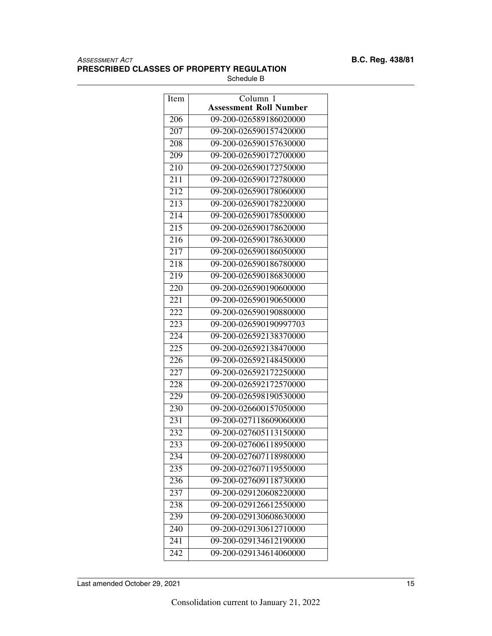| Item | Column 1                      |
|------|-------------------------------|
|      | <b>Assessment Roll Number</b> |
| 206  | 09-200-026589186020000        |
| 207  | 09-200-026590157420000        |
| 208  | 09-200-026590157630000        |
| 209  | 09-200-026590172700000        |
| 210  | 09-200-026590172750000        |
| 211  | 09-200-026590172780000        |
| 212  | 09-200-026590178060000        |
| 213  | 09-200-026590178220000        |
| 214  | 09-200-026590178500000        |
| 215  | 09-200-026590178620000        |
| 216  | 09-200-026590178630000        |
| 217  | 09-200-026590186050000        |
| 218  | 09-200-026590186780000        |
| 219  | 09-200-026590186830000        |
| 220  | 09-200-026590190600000        |
| 221  | 09-200-026590190650000        |
| 222  | 09-200-026590190880000        |
| 223  | 09-200-026590190997703        |
| 224  | 09-200-026592138370000        |
| 225  | 09-200-026592138470000        |
| 226  | 09-200-026592148450000        |
| 227  | 09-200-026592172250000        |
| 228  | 09-200-026592172570000        |
| 229  | 09-200-026598190530000        |
| 230  | 09-200-026600157050000        |
| 231  | 09-200-027118609060000        |
| 232  | 09-200-027605113150000        |
| 233  | 09-200-027606118950000        |
| 234  | 09-200-027607118980000        |
| 235  | 09-200-027607119550000        |
| 236  | 09-200-027609118730000        |
| 237  | 09-200-029120608220000        |
| 238  | 09-200-029126612550000        |
| 239  | 09-200-029130608630000        |
| 240  | 09-200-029130612710000        |
| 241  | 09-200-029134612190000        |
| 242  | 09-200-029134614060000        |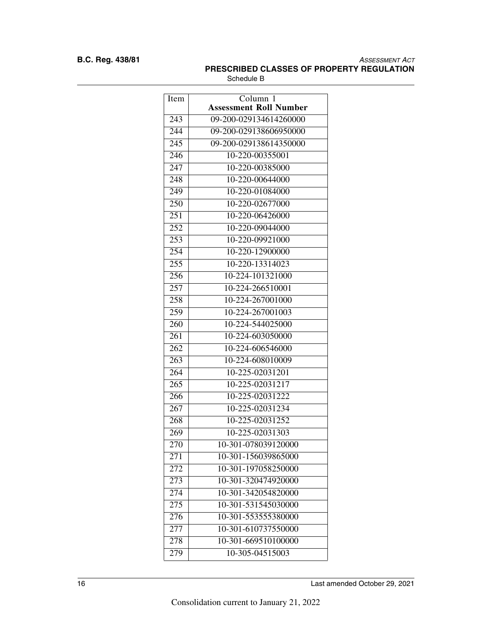| Item             | $\overline{\text{Column}}$ 1  |
|------------------|-------------------------------|
|                  | <b>Assessment Roll Number</b> |
| 243              | 09-200-029134614260000        |
| 244              | 09-200-029138606950000        |
| 245              | 09-200-029138614350000        |
| 246              | 10-220-00355001               |
| 247              | 10-220-00385000               |
| 248              | 10-220-00644000               |
| 249              | 10-220-01084000               |
| 250              | 10-220-02677000               |
| 251              | 10-220-06426000               |
| 252              | 10-220-09044000               |
| 253              | 10-220-09921000               |
| 254              | 10-220-12900000               |
| 255              | 10-220-13314023               |
| 256              | 10-224-101321000              |
| $\overline{257}$ | 10-224-266510001              |
| 258              | 10-224-267001000              |
| $\overline{259}$ | 10-224-267001003              |
| 260              | 10-224-544025000              |
| 261              | 10-224-603050000              |
| 262              | 10-224-606546000              |
| 263              | 10-224-608010009              |
| 264              | 10-225-02031201               |
| 265              | 10-225-02031217               |
| 266              | 10-225-02031222               |
| 267              | 10-225-02031234               |
| 268              | 10-225-02031252               |
| 269              | 10-225-02031303               |
| 270              | 10-301-078039120000           |
| 271              | 10-301-156039865000           |
| 272              | 10-301-197058250000           |
| 273              | 10-301-320474920000           |
| 274              | 10-301-342054820000           |
| 275              | 10-301-531545030000           |
| 276              | 10-301-553555380000           |
| 277              | 10-301-610737550000           |
| 278              | 10-301-669510100000           |
| 279              | 10-305-04515003               |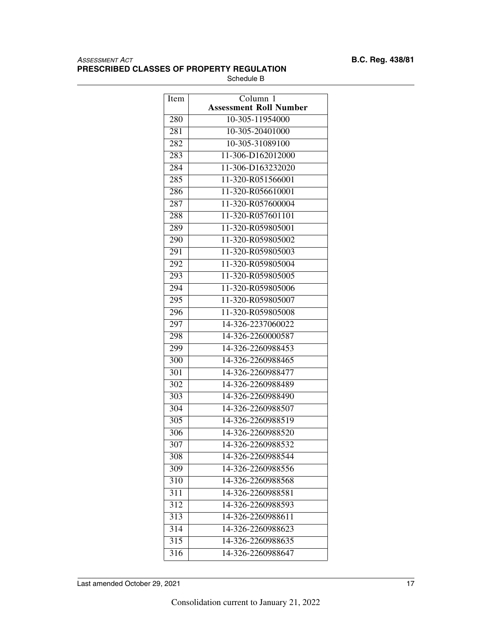| Item             | Column 1                      |
|------------------|-------------------------------|
|                  | <b>Assessment Roll Number</b> |
| 280              | 10-305-11954000               |
| 281              | 10-305-20401000               |
| $28\overline{2}$ | 10-305-31089100               |
| 283              | 11-306-D162012000             |
| 284              | 11-306-D163232020             |
| 285              | 11-320-R051566001             |
| 286              | 11-320-R056610001             |
| 287              | 11-320-R057600004             |
| 288              | 11-320-R057601101             |
| 289              | 11-320-R059805001             |
| 290              | 11-320-R059805002             |
| 291              | 11-320-R059805003             |
| 292              | 11-320-R059805004             |
| 293              | 11-320-R059805005             |
| 294              | 11-320-R059805006             |
| 295              | 11-320-R059805007             |
| 296              | 11-320-R059805008             |
| 297              | 14-326-2237060022             |
| 298              | 14-326-2260000587             |
| 299              | 14-326-2260988453             |
| 300              | 14-326-2260988465             |
| 301              | 14-326-2260988477             |
| 302              | 14-326-2260988489             |
| 303              | 14-326-2260988490             |
| 304              | 14-326-2260988507             |
| $\overline{305}$ | 14-326-2260988519             |
| 306              | 14-326-2260988520             |
| 307              | 14-326-2260988532             |
| 308              | 14-326-2260988544             |
| 309              | 14-326-2260988556             |
| 310              | 14-326-2260988568             |
| $\overline{311}$ | 14-326-2260988581             |
| 312              | 14-326-2260988593             |
| $\overline{313}$ | 14-326-2260988611             |
| 314              | 14-326-2260988623             |
| 315              | 14-326-2260988635             |
| 316              | 14-326-2260988647             |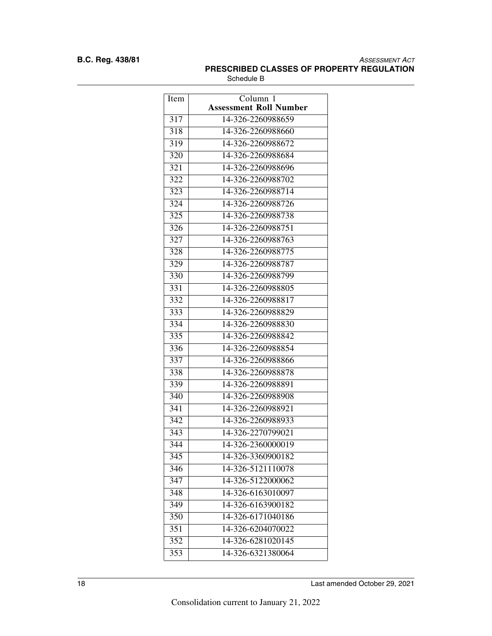| Item             | $\overline{\mathrm{C}}$ olumn 1 |
|------------------|---------------------------------|
|                  | <b>Assessment Roll Number</b>   |
| 317              | 14-326-2260988659               |
| 318              | 14-326-2260988660               |
| 319              | 14-326-2260988672               |
| 320              | 14-326-2260988684               |
| 321              | 14-326-2260988696               |
| 322              | 14-326-2260988702               |
| 323              | 14-326-2260988714               |
| 324              | 14-326-2260988726               |
| 325              | 14-326-2260988738               |
| 326              | 14-326-2260988751               |
| 327              | 14-326-2260988763               |
| 328              | 14-326-2260988775               |
| 329              | 14-326-2260988787               |
| 330              | 14-326-2260988799               |
| 331              | 14-326-2260988805               |
| 332              | 14-326-2260988817               |
| 333              | 14-326-2260988829               |
| 334              | 14-326-2260988830               |
| 335              | 14-326-2260988842               |
| 336              | 14-326-2260988854               |
| 337              | 14-326-2260988866               |
| 338              | 14-326-2260988878               |
| 339              | 14-326-2260988891               |
| 340              | 14-326-2260988908               |
| 341              | 14-326-2260988921               |
| 342              | 14-326-2260988933               |
| 343              | 14-326-2270799021               |
| 344              | 14-326-2360000019               |
| 345              | 14-326-3360900182               |
| 346              | 14-326-5121110078               |
| 347              | 14-326-5122000062               |
| 348              | 14-326-6163010097               |
| 349              | 14-326-6163900182               |
| $\overline{350}$ | 14-326-6171040186               |
| 351              | 14-326-6204070022               |
| $\overline{352}$ | 14-326-6281020145               |
| 353              | 14-326-6321380064               |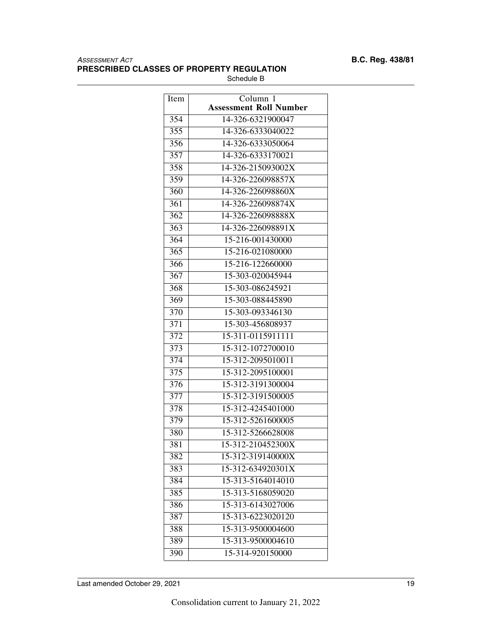| Item             | $\overline{\text{Column}}$ 1  |
|------------------|-------------------------------|
|                  | <b>Assessment Roll Number</b> |
| 354              | 14-326-6321900047             |
| 355              | 14-326-6333040022             |
| 356              | 14-326-6333050064             |
| 357              | 14-326-6333170021             |
| 358              | 14-326-215093002X             |
| 359              | 14-326-226098857X             |
| 360              | 14-326-226098860X             |
| 361              | 14-326-226098874X             |
| 362              | 14-326-226098888X             |
| 363              | 14-326-226098891X             |
| 364              | 15-216-001430000              |
| 365              | 15-216-021080000              |
| 366              | 15-216-122660000              |
| 367              | 15-303-020045944              |
| 368              | 15-303-086245921              |
| 369              | 15-303-088445890              |
| 370              | 15-303-093346130              |
| 371              | 15-303-456808937              |
| 372              | 15-311-0115911111             |
| 373              | 15-312-1072700010             |
| $\overline{374}$ | 15-312-2095010011             |
| 375              | 15-312-2095100001             |
| 376              | 15-312-3191300004             |
| 377              | 15-312-3191500005             |
| 378              | 15-312-4245401000             |
| 379              | 15-312-5261600005             |
| 380              | 15-312-5266628008             |
| 381              | 15-312-210452300X             |
| 382              | 15-312-319140000X             |
| 383              | 15-312-634920301X             |
| 384              | 15-313-5164014010             |
| 385              | 15-313-5168059020             |
| 386              | 15-313-6143027006             |
| 387              | 15-313-6223020120             |
| 388              | 15-313-9500004600             |
| 389              | 15-313-9500004610             |
| 390              | 15-314-920150000              |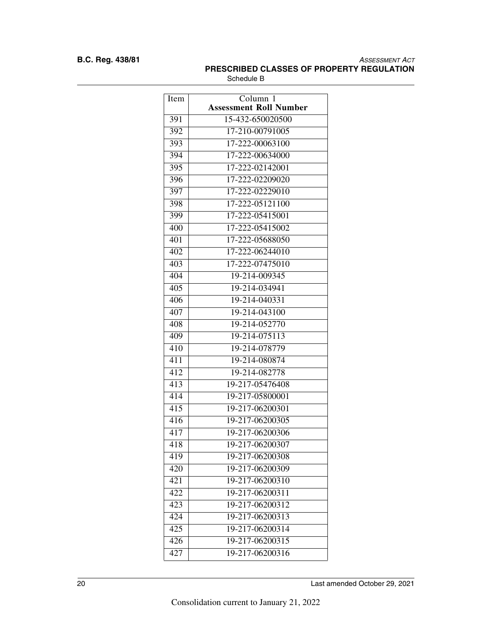| Item             | Column <sub>1</sub><br><b>Assessment Roll Number</b> |
|------------------|------------------------------------------------------|
| 391              | 15-432-650020500                                     |
| $\overline{392}$ | 17-210-00791005                                      |
|                  | 17-222-00063100                                      |
| 393              |                                                      |
| 394              | 17-222-00634000                                      |
| 395              | 17-222-02142001                                      |
| 396              | 17-222-02209020                                      |
| 397              | 17-222-02229010                                      |
| 398              | 17-222-05121100                                      |
| 399              | 17-222-05415001                                      |
| 400              | 17-222-05415002                                      |
| $\overline{401}$ | 17-222-05688050                                      |
| 402              | 17-222-06244010                                      |
| $\overline{403}$ | 17-222-07475010                                      |
| 404              | 19-214-009345                                        |
| $\overline{405}$ | 19-214-034941                                        |
| 406              | 19-214-040331                                        |
| 407              | 19-214-043100                                        |
| 408              | 19-214-052770                                        |
| 409              | 19-214-075113                                        |
| 410              | 19-214-078779                                        |
| 411              | 19-214-080874                                        |
| 412              | 19-214-082778                                        |
| 413              | 19-217-05476408                                      |
| 414              | 19-217-05800001                                      |
| 415              | 19-217-06200301                                      |
| $\overline{416}$ | 19-217-06200305                                      |
| $\overline{417}$ | 19-217-06200306                                      |
| 418              | 19-217-06200307                                      |
| 419              | 19-217-06200308                                      |
| $\overline{420}$ | 19-217-06200309                                      |
| 421              | 19-217-06200310                                      |
| 422              | 19-217-06200311                                      |
| $\overline{423}$ | 19-217-06200312                                      |
| 424              | 19-217-06200313                                      |
| $\overline{425}$ | 19-217-06200314                                      |
| $\overline{426}$ | 19-217-06200315                                      |
| $\overline{427}$ | 19-217-06200316                                      |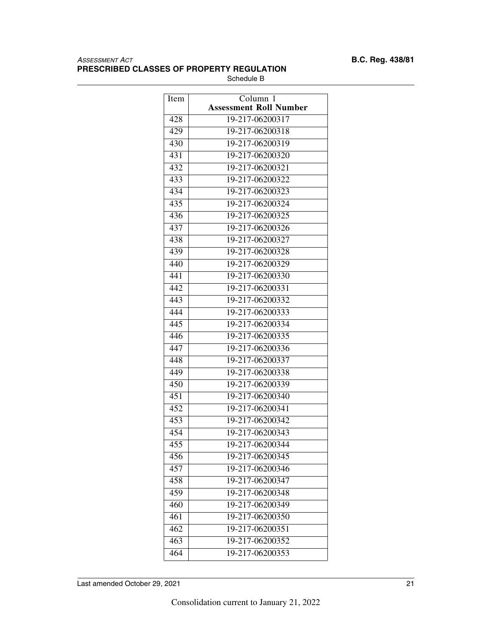| Item             | $\overline{\text{Column}}$ 1<br><b>Assessment Roll Number</b> |
|------------------|---------------------------------------------------------------|
|                  |                                                               |
| 428              | 19-217-06200317                                               |
| 429              | 19-217-06200318                                               |
| 430              | 19-217-06200319                                               |
| 431              | 19-217-06200320                                               |
| 432              | 19-217-06200321                                               |
| 433              | 19-217-06200322                                               |
| 434              | 19-217-06200323                                               |
| $\overline{435}$ | 19-217-06200324                                               |
| 436              | 19-217-06200325                                               |
| 437              | 19-217-06200326                                               |
| 438              | 19-217-06200327                                               |
| 439              | 19-217-06200328                                               |
| 440              | 19-217-06200329                                               |
| 441              | 19-217-06200330                                               |
| 442              | 19-217-06200331                                               |
| 443              | 19-217-06200332                                               |
| 444              | 19-217-06200333                                               |
| 445              | 19-217-06200334                                               |
| 446              | 19-217-06200335                                               |
| 447              | 19-217-06200336                                               |
| 448              | 19-217-06200337                                               |
| 449              | 19-217-06200338                                               |
| 450              | 19-217-06200339                                               |
| 451              | 19-217-06200340                                               |
| 452              | 19-217-06200341                                               |
| $\overline{453}$ | 19-217-06200342                                               |
| 454              | 19-217-06200343                                               |
| 455              | 19-217-06200344                                               |
| 456              | 19-217-06200345                                               |
| 457              | 19-217-06200346                                               |
| 458              | 19-217-06200347                                               |
| 459              | 19-217-06200348                                               |
| 460              | 19-217-06200349                                               |
| $\overline{461}$ | 19-217-06200350                                               |
| 462              | 19-217-06200351                                               |
| $\overline{463}$ | 19-217-06200352                                               |
| 464              | 19-217-06200353                                               |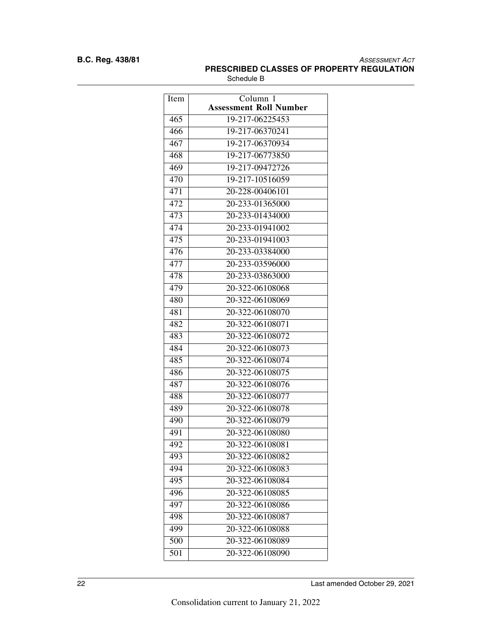| Item             | $\overline{\text{Column}}$ 1  |
|------------------|-------------------------------|
|                  | <b>Assessment Roll Number</b> |
| $46\overline{5}$ | 19-217-06225453               |
| 466              | 19-217-06370241               |
| 467              | 19-217-06370934               |
| 468              | 19-217-06773850               |
| 469              | 19-217-09472726               |
| 470              | 19-217-10516059               |
| $\overline{471}$ | 20-228-00406101               |
| $\overline{472}$ | 20-233-01365000               |
| 473              | 20-233-01434000               |
| 474              | 20-233-01941002               |
| 475              | 20-233-01941003               |
| 476              | 20-233-03384000               |
| 477              | 20-233-03596000               |
| 478              | 20-233-03863000               |
| 479              | 20-322-06108068               |
| 480              | 20-322-06108069               |
| 481              | 20-322-06108070               |
| 482              | 20-322-06108071               |
| 483              | 20-322-06108072               |
| 484              | 20-322-06108073               |
| 485              | 20-322-06108074               |
| 486              | 20-322-06108075               |
| 487              | 20-322-06108076               |
| 488              | 20-322-06108077               |
| 489              | 20-322-06108078               |
| 490              | 20-322-06108079               |
| 491              | 20-322-06108080               |
| 492              | 20-322-06108081               |
| 493              | 20-322-06108082               |
| $\overline{49}4$ | 20-322-06108083               |
| 495              | 20-322-06108084               |
| 496              | 20-322-06108085               |
| 497              | 20-322-06108086               |
| 498              | 20-322-06108087               |
| 499              | 20-322-06108088               |
| 500              | 20-322-06108089               |
| 501              | 20-322-06108090               |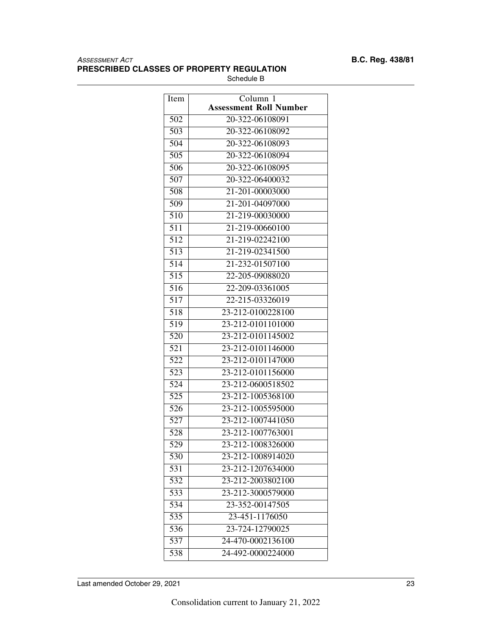| Item             | Column 1                      |
|------------------|-------------------------------|
|                  | <b>Assessment Roll Number</b> |
| 502              | 20-322-06108091               |
| 503              | 20-322-06108092               |
| 504              | 20-322-06108093               |
| 505              | 20-322-06108094               |
| 506              | 20-322-06108095               |
| 507              | 20-322-06400032               |
| 508              | 21-201-00003000               |
| 509              | 21-201-04097000               |
| 510              | 21-219-00030000               |
| 511              | 21-219-00660100               |
| 512              | 21-219-02242100               |
| $\overline{513}$ | 21-219-02341500               |
| 514              | 21-232-01507100               |
| $\overline{515}$ | 22-205-09088020               |
| 516              | 22-209-03361005               |
| 517              | 22-215-03326019               |
| 518              | 23-212-0100228100             |
| 519              | 23-212-0101101000             |
| 520              | 23-212-0101145002             |
| 521              | 23-212-0101146000             |
| 522              | 23-212-0101147000             |
| 523              | 23-212-0101156000             |
| 524              | 23-212-0600518502             |
| 525              | 23-212-1005368100             |
| 526              | 23-212-1005595000             |
| 527              | 23-212-1007441050             |
| 528              | 23-212-1007763001             |
| 529              | 23-212-1008326000             |
| 530              | 23-212-1008914020             |
| 531              | 23-212-1207634000             |
| 532              | 23-212-2003802100             |
| 533              | 23-212-3000579000             |
| 534              | 23-352-00147505               |
| 535              | 23-451-1176050                |
| 536              | 23-724-12790025               |
| 537              | 24-470-0002136100             |
| 538              | 24-492-0000224000             |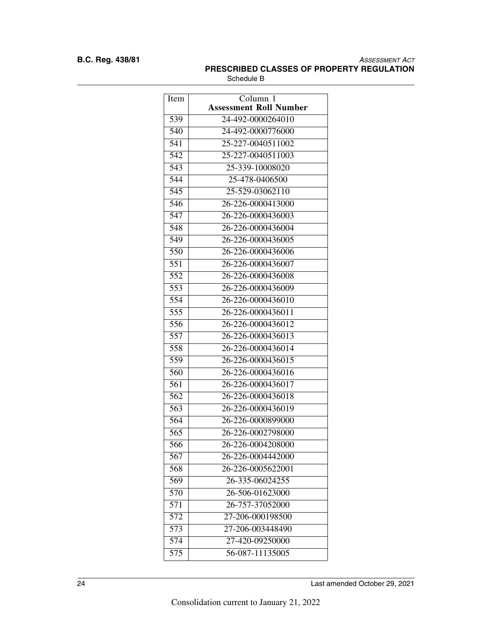| Item             | Column 1                      |
|------------------|-------------------------------|
|                  | <b>Assessment Roll Number</b> |
| $\overline{539}$ | 24-492-0000264010             |
| 540              | 24-492-0000776000             |
| 541              | 25-227-0040511002             |
| 542              | 25-227-0040511003             |
| 543              | 25-339-10008020               |
| 544              | 25-478-0406500                |
| 545              | 25-529-03062110               |
| 546              | 26-226-0000413000             |
| 547              | 26-226-0000436003             |
| 548              | 26-226-0000436004             |
| 549              | 26-226-0000436005             |
| $\overline{550}$ | 26-226-0000436006             |
| 551              | 26-226-0000436007             |
| 552              | 26-226-0000436008             |
| 553              | 26-226-0000436009             |
| $\overline{554}$ | 26-226-0000436010             |
| 555              | 26-226-0000436011             |
| 556              | 26-226-0000436012             |
| 557              | 26-226-0000436013             |
| $\overline{558}$ | 26-226-0000436014             |
| 559              | 26-226-0000436015             |
| 560              | 26-226-0000436016             |
| 561              | 26-226-0000436017             |
| 562              | 26-226-0000436018             |
| 563              | 26-226-0000436019             |
| 564              | 26-226-0000899000             |
| 565              | 26-226-0002798000             |
| 566              | 26-226-0004208000             |
| 567              | 26-226-0004442000             |
| 568              | 26-226-0005622001             |
| 569              | 26-335-06024255               |
| $\overline{570}$ | 26-506-01623000               |
| $\overline{571}$ | 26-757-37052000               |
| $\overline{572}$ | 27-206-000198500              |
| 573              | 27-206-003448490              |
| $\overline{574}$ | 27-420-09250000               |
| $\overline{575}$ | 56-087-11135005               |